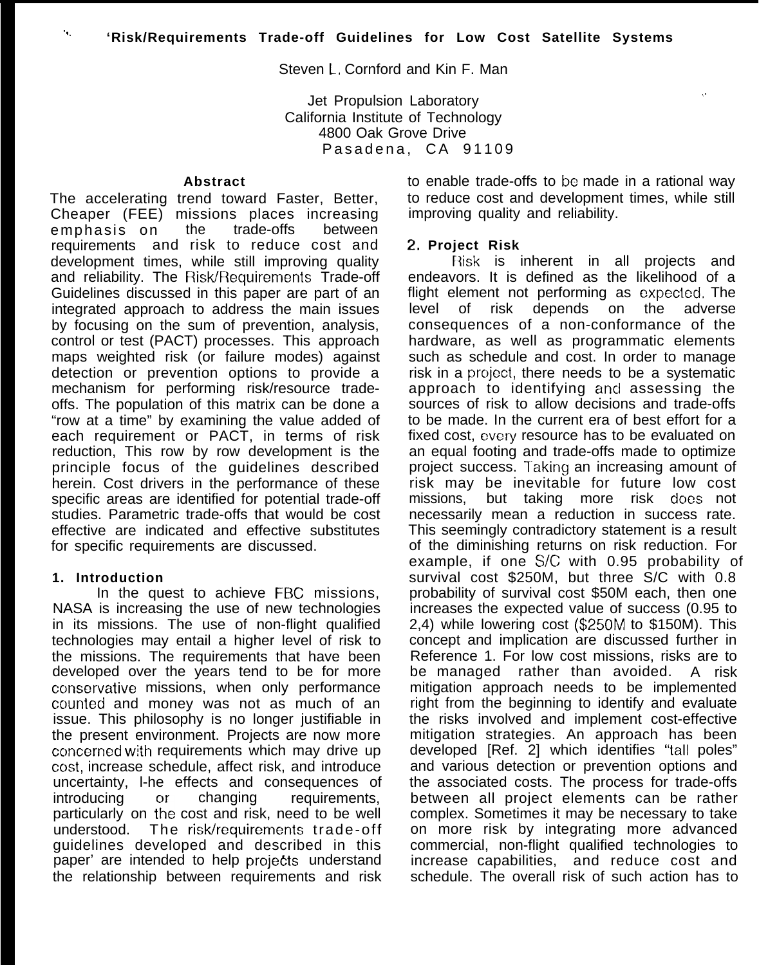Steven L. Cornford and Kin F. Man

Jet Propulsion Laboratory , which is a strategies of the strategies of the strategies of the strategies of the California Institute of Technology 4800 Oak Grove Drive Pasadena, CA 91109

#### **Abstract**

The accelerating trend toward Faster, Better, Cheaper (FEE) missions places increasing emphasis on the trade-offs between requirements and risk to reduce cost and development times, while still improving quality and reliability. The Risk/Requirements Trade-off Guidelines discussed in this paper are part of an integrated approach to address the main issues by focusing on the sum of prevention, analysis, control or test (PACT) processes. This approach maps weighted risk (or failure modes) against detection or prevention options to provide a mechanism for performing risk/resource tradeoffs. The population of this matrix can be done a "row at a time" by examining the value added of each requirement or PACT, in terms of risk reduction, This row by row development is the principle focus of the guidelines described herein. Cost drivers in the performance of these specific areas are identified for potential trade-off studies. Parametric trade-offs that would be cost effective are indicated and effective substitutes for specific requirements are discussed.

### **1. Introduction**

 $\mathbf{r}_{\rm{in}}$ 

In the quest to achieve FBC missions, NASA is increasing the use of new technologies in its missions. The use of non-flight qualified technologies may entail a higher level of risk to the missions. The requirements that have been developed over the years tend to be for more conservative missions, when only performance counted and money was not as much of an issue. This philosophy is no longer justifiable in the present environment. Projects are now more concerned with requirements which may drive up cost, increase schedule, affect risk, and introduce uncertainty, l-he effects and consequences of introducing or changing requirements, particularly on the cost and risk, need to be well understood. The risk/requirements trade-off guidelines developed and described in this paper' are intended to help projects understand the relationship between requirements and risk to enable trade-offs to be made in a rational way to reduce cost and development times, while still improving quality and reliability.

#### 2, **Project Risk**

Risk is inherent in all projects and endeavors. It is defined as the likelihood of a flight element not performing as expecled, The level of risk depends on the adverse consequences of a non-conformance of the hardware, as well as programmatic elements such as schedule and cost. In order to manage risk in a project, there needs to be a systematic approach to identifying and assessing the sources of risk to allow decisions and trade-offs to be made. In the current era of best effort for a fixed cost, cwery resource has to be evaluated on an equal footing and trade-offs made to optimize project success. Taking an increasing amount of risk may be inevitable for future low cost missions, but taking more risk does not necessarily mean a reduction in success rate. This seemingly contradictory statement is a result of the diminishing returns on risk reduction. For example, if one  $S/C$  with 0.95 probability of survival cost \$250M, but three S/C with 0.8 probability of survival cost \$50M each, then one increases the expected value of success (0.95 to 2,4) while lowering cost (\$250M to \$150M). This concept and implication are discussed further in Reference 1. For low cost missions, risks are to be managed rather than avoided. A risk mitigation approach needs to be implemented right from the beginning to identify and evaluate the risks involved and implement cost-effective mitigation strategies. An approach has been developed [Ref. 2] which identifies "tall poles" and various detection or prevention options and the associated costs. The process for trade-offs between all project elements can be rather complex. Sometimes it may be necessary to take on more risk by integrating more advanced commercial, non-flight qualified technologies to increase capabilities, and reduce cost and schedule. The overall risk of such action has to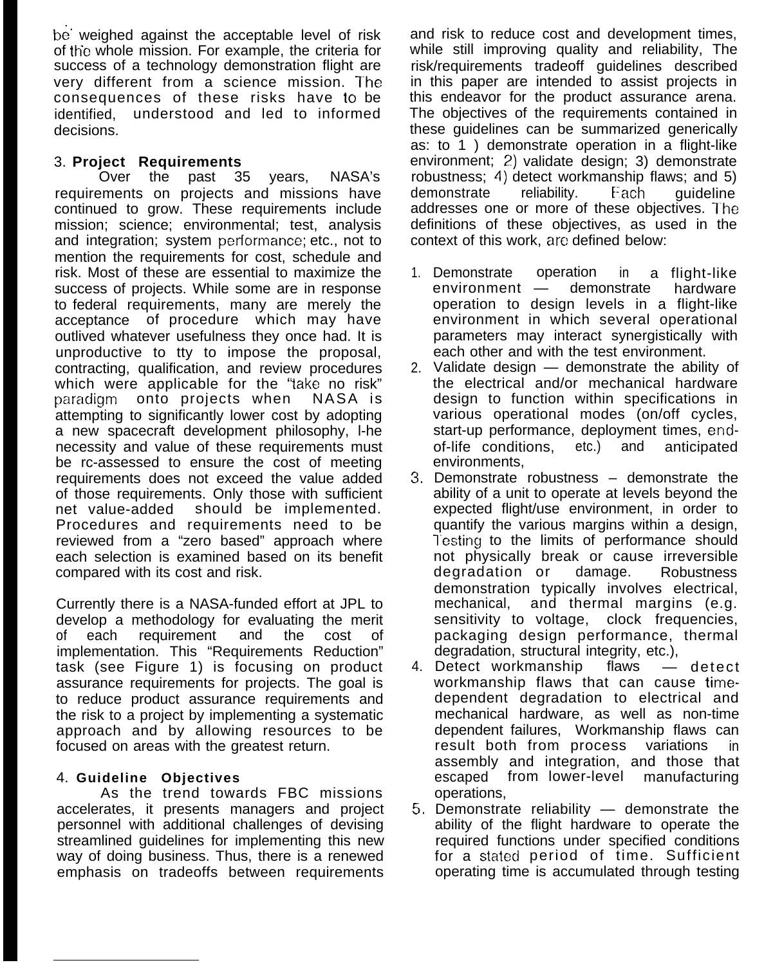be" weighed against the acceptable level of risk of the whole mission. For example, the criteria for success of a technology demonstration flight are very different from a science mission. The consequences of these risks have to be identified, understood and led to informed decisions.

## 3. **Project Requirements**

Over the past 35 years, NASA's requirements on projects and missions have continued to grow. These requirements include mission; science; environmental; test, analysis and integration; system performance; etc., not to mention the requirements for cost, schedule and risk. Most of these are essential to maximize the success of projects. While some are in response to federal requirements, many are merely the acceptance of procedure which may have outlived whatever usefulness they once had. It is unproductive to tty to impose the proposal, contracting, qualification, and review procedures which were applicable for the "take no risk" paradigm onto projects when NASA is attempting to significantly lower cost by adopting a new spacecraft development philosophy, l-he necessity and value of these requirements must be rc-assessed to ensure the cost of meeting requirements does not exceed the value added of those requirements. Only those with sufficient net value-added should be implemented. Procedures and requirements need to be reviewed from a "zero based" approach where each selection is examined based on its benefit compared with its cost and risk.

Currently there is a NASA-funded effort at JPL to develop a methodology for evaluating the merit of each requirement and the cost of implementation. This "Requirements Reduction" task (see Figure 1) is focusing on product assurance requirements for projects. The goal is to reduce product assurance requirements and the risk to a project by implementing a systematic approach and by allowing resources to be focused on areas with the greatest return.

# 4. **Guideline Objectives**

As the trend towards FBC missions accelerates, it presents managers and project personnel with additional challenges of devising streamlined guidelines for implementing this new way of doing business. Thus, there is a renewed emphasis on tradeoffs between requirements

and risk to reduce cost and development times, while still improving quality and reliability, The risk/requirements tradeoff guidelines described in this paper are intended to assist projects in this endeavor for the product assurance arena. The objectives of the requirements contained in these guidelines can be summarized generically as: to 1 ) demonstrate operation in a flight-like environment; 2) validate design; 3) demonstrate robustness; 4) detect workmanship flaws; and 5) demonstrate reliability. Each quideline addresses one or more of these objectives. The definitions of these objectives, as used in the context of this work, are defined below:

- 1. Demonstrate operation in a flight-like environment — demonstrate hardware operation to design levels in a flight-like environment in which several operational parameters may interact synergistically with each other and with the test environment.
- 2. Validate design demonstrate the ability of the electrical and/or mechanical hardware design to function within specifications in various operational modes (on/off cycles, start-up performance, deployment times, endof-life conditions, etc.) and anticipated environments,
- 3, Demonstrate robustness demonstrate the ability of a unit to operate at levels beyond the expected flight/use environment, in order to quantify the various margins within a design, Testing to the limits of performance should not physically break or cause irreversible degradation or damage. Robustness demonstration typically involves electrical,<br>mechanical, and thermal margins (e.g. and thermal margins (e.g. sensitivity to voltage, clock frequencies, packaging design performance, thermal degradation, structural integrity, etc.),
- 4. Detect workmanship flaws detect workmanship flaws that can cause timedependent degradation to electrical and mechanical hardware, as well as non-time dependent failures, Workmanship flaws can result both from process variations in assembly and integration, and those that escaped from lower-level manufacturing operations,
- 5, Demonstrate reliability demonstrate the ability of the flight hardware to operate the required functions under specified conditions for a stated period of time. Sufficient operating time is accumulated through testing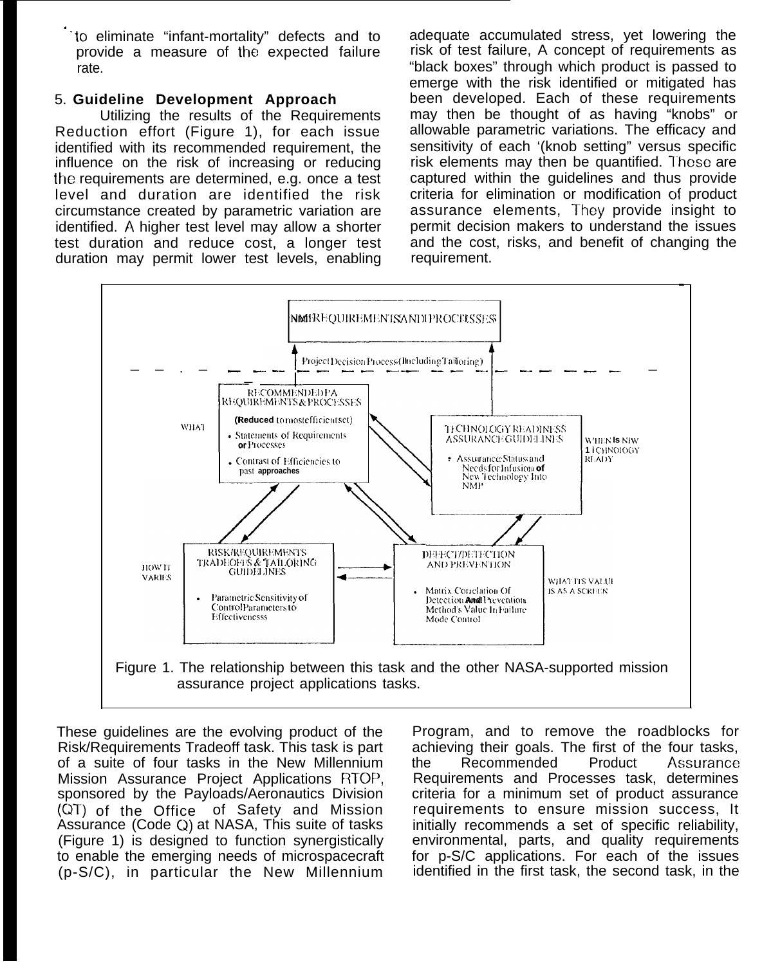to eliminate "infant-mortality" defects and to provide a measure of the expected failure rate.

# 5. Guideline Development Approach

Utilizing the results of the Requirements Reduction effort (Figure 1), for each issue identified with its recommended requirement, the influence on the risk of increasing or reducing the requirements are determined, e.g. once a test level and duration are identified the risk circumstance created by parametric variation are identified. A higher test level may allow a shorter test duration and reduce cost, a longer test duration may permit lower test levels, enabling adequate accumulated stress, vet lowering the risk of test failure. A concept of requirements as "black boxes" through which product is passed to emerge with the risk identified or mitigated has been developed. Each of these requirements may then be thought of as having "knobs" or allowable parametric variations. The efficacy and sensitivity of each '(knob setting" versus specific risk elements may then be quantified. These are captured within the quidelines and thus provide criteria for elimination or modification of product assurance elements, They provide insight to permit decision makers to understand the issues and the cost, risks, and benefit of changing the requirement.



These guidelines are the evolving product of the Risk/Requirements Tradeoff task. This task is part of a suite of four tasks in the New Millennium Mission Assurance Project Applications RTOP, sponsored by the Payloads/Aeronautics Division (QT) of the Office of Safety and Mission Assurance (Code Q) at NASA, This suite of tasks (Figure 1) is designed to function synergistically to enable the emerging needs of microspacecraft (p-S/C), in particular the New Millennium Program, and to remove the roadblocks for achieving their goals. The first of the four tasks, Recommended Product Assurance the Requirements and Processes task, determines criteria for a minimum set of product assurance requirements to ensure mission success. It initially recommends a set of specific reliability, environmental, parts, and quality requirements for p-S/C applications. For each of the issues identified in the first task, the second task, in the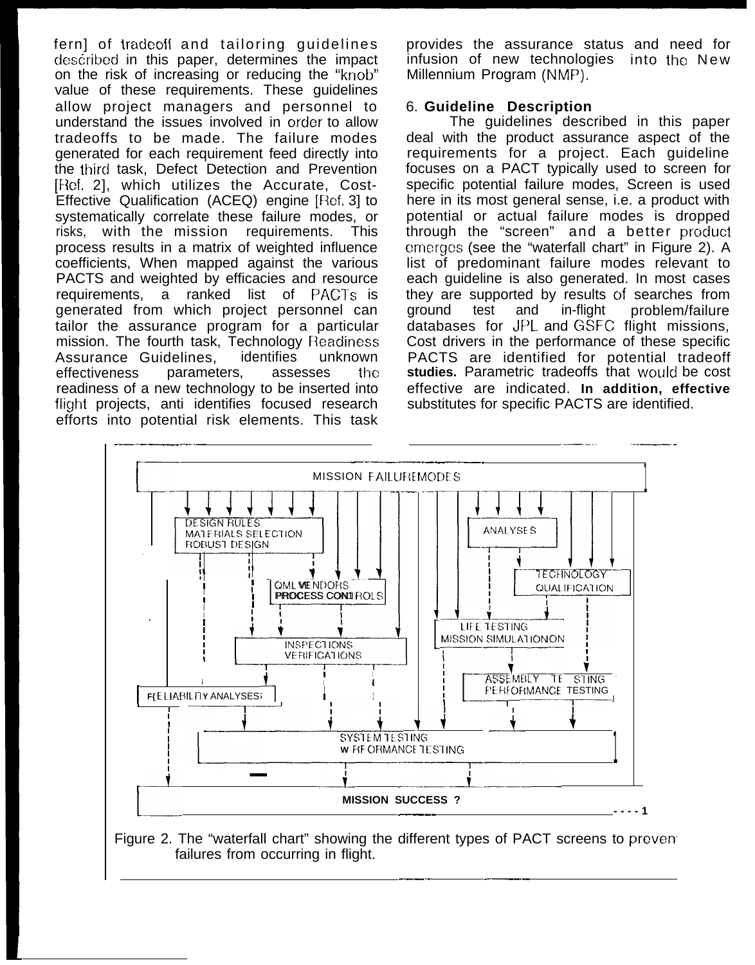fern] of tradeoff and tailoring guidelines described in this paper, determines the impact on the risk of increasing or reducing the "knob" value of these requirements. These guidelines allow project managers and personnel to understand the issues involved in order to allow tradeoffs to be made. The failure modes generated for each requirement feed directly into the third task, Defect Detection and Prevention [Ref. 2], which utilizes the Accurate, Cost-Effective Qualification (ACEQ) engine [Ref. 3] to systematically correlate these failure modes, or risks, with the mission requirements. This process results in a matrix of weighted influence coefficients, When mapped against the various PACTS and weighted by efficacies and resource requirements, a ranked list of PACTs is generated from which project personnel can tailor the assurance program for a particular mission. The fourth task, Technology Readiness Assurance Guidelines, identifies unknown effectiveness parameters, assesses the readiness of a new technology to be inserted into flight projects, anti identifies focused research provides the assurance status and need for infusion of new technologies into the New Millennium Program (NMP).

## 6. **Guideline Description**

The guidelines described in this paper deal with the product assurance aspect of the requirements for a project. Each guideline focuses on a PACT typically used to screen for specific potential failure modes, Screen is used here in its most general sense, i.e. a product with potential or actual failure modes is dropped through the "screen" and a better product emerges (see the "waterfall chart" in Figure 2). A list of predominant failure modes relevant to each guideline is also generated. In most cases they are supported by results of searches from ground test and in-flight problem/failure databases for JPL and GSFC flight missions, Cost drivers in the performance of these specific PACTS are identified for potential tradeoff **studies.** Parametric tradeoffs that would be cost effective are indicated. **In addition, effective** substitutes for specific PACTS are identified.



Figure 2. The "waterfall chart" showing the different types of PACT screens to preven failures from occurring in flight. ———— ——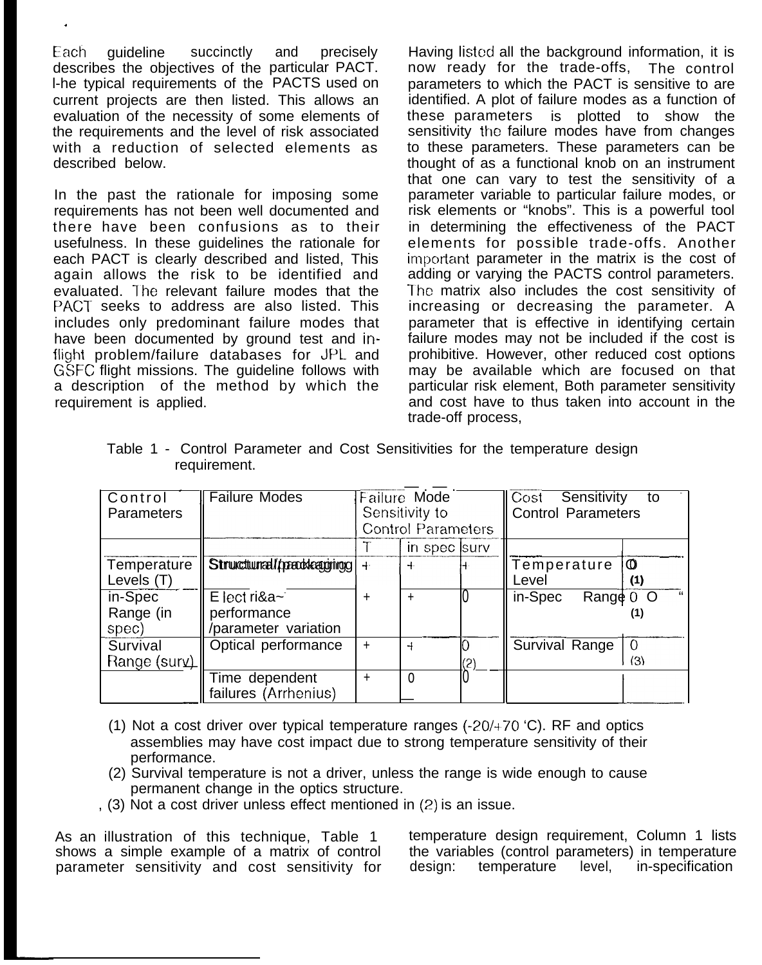Each guideline succinctly describes the objectives of the particular PACT. l-he typical requirements of the PACTS used on and precisely current projects are then listed. This allows an evaluation of the necessity of some elements of the requirements and the level of risk associated with a reduction of selected elements as described below.

.

In the past the rationale for imposing some requirements has not been well documented and there have been confusions as to their usefulness. In these guidelines the rationale for each PACT is clearly described and listed, This again allows the risk to be identified and evaluated. The relevant failure modes that the PACT seeks to address are also listed. This includes only predominant failure modes that have been documented by ground test and inflight problem/failure databases for JPL and GSFC flight missions. The guideline follows with a description of the method by which the requirement is applied.

Having listed all the background information, it is now ready for the trade-offs, The control parameters to which the PACT is sensitive to are identified. A plot of failure modes as a function of these parameters is plotted to show the sensitivity the failure modes have from changes to these parameters. These parameters can be thought of as a functional knob on an instrument that one can vary to test the sensitivity of a parameter variable to particular failure modes, or risk elements or "knobs". This is a powerful tool in determining the effectiveness of the PACT elements for possible trade-offs. Another imporlant parameter in the matrix is the cost of adding or varying the PACTS control parameters. The matrix also includes the cost sensitivity of increasing or decreasing the parameter. A parameter that is effective in identifying certain failure modes may not be included if the cost is prohibitive. However, other reduced cost options may be available which are focused on that particular risk element, Both parameter sensitivity and cost have to thus taken into account in the trade-off process,

|              |  |  |  |  |  |  | Table 1 - Control Parameter and Cost Sensitivities for the temperature design |  |
|--------------|--|--|--|--|--|--|-------------------------------------------------------------------------------|--|
| requirement. |  |  |  |  |  |  |                                                                               |  |

| Control<br>Parameters         | <b>Failure Modes</b>                                  | Failure Mode<br>Sensitivity to<br><b>Control Parameters</b> |               |          | Cost <br>Sensitivity<br>to<br><b>Control Parameters</b> |                       |  |
|-------------------------------|-------------------------------------------------------|-------------------------------------------------------------|---------------|----------|---------------------------------------------------------|-----------------------|--|
|                               |                                                       |                                                             | in spec surv  |          |                                                         |                       |  |
| Temperature<br>Levels (T)     | Strukcturral/prackeaggring                            | $+$                                                         | $+$           |          | Temperature<br>Level                                    | $\mathbf 0$<br>(1)    |  |
| in-Spec<br>Range (in<br>spec) | $E$ lect ri&a~<br>performance<br>/parameter variation | +                                                           |               |          | in-Spec<br>Rang $\notin$ 0 O                            | (1)                   |  |
| Survival<br>Range (surv)      | Optical performance                                   | $\ddot{}$                                                   | $\rightarrow$ | Ю<br>(2) | Survival Range                                          | $\overline{0}$<br>(3) |  |
|                               | Time dependent<br>failures (Arrhenius)                | ÷.                                                          | $\Omega$      |          |                                                         |                       |  |

- (1) Not a cost driver over typical temperature ranges (-20/+70 'C). RF and optics assemblies may have cost impact due to strong temperature sensitivity of their performance.
- (2) Survival temperature is not a driver, unless the range is wide enough to cause permanent change in the optics structure.
- , (3) Not a cost driver unless effect mentioned in (2) is an issue.

As an illustration of this technique, Table 1 temperature design requirement, Column 1 lists shows a simple example of a matrix of control the variables (control parameters) in temperature parameter sensitivity and cost sensitivity for design: temperature level, in-specification